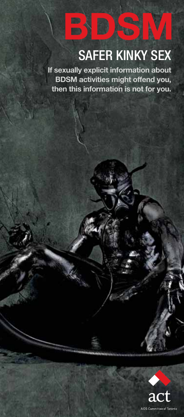# SAFER KINKY SEX

**BDSM**

**If sexually explicit information about BDSM activities might offend you, then this information is not for you.**



 $^{\circ}$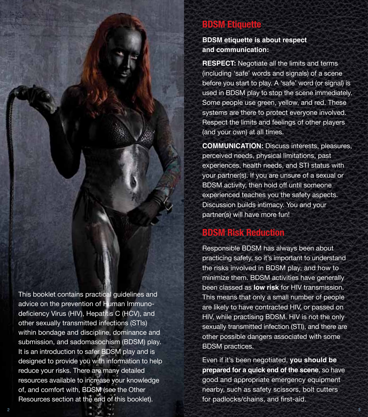# **BDSM Etiquette**

**BDSM etiquette is about respect and communication:** 

**RESPECT:** Negotiate all the limits and terms (including 'safe' words and signals) of a scene before you start to play. A 'safe' word (or signal) is used in BDSM play to stop the scene immediately. Some people use green, yellow, and red. These systems are there to protect everyone involved. Respect the limits and feelings of other players (and your own) at all times.

**COMMUNICATION:** Discuss interests, pleasures, perceived needs, physical limitations, past experiences, health needs, and STI status with your partner(s). If you are unsure of a sexual or BDSM activity, then hold off until someone experienced teaches you the safety aspects. Discussion builds intimacy. You and your partner(s) will have more fun!

# **BDSM Risk Reduction**

Responsible BDSM has always been about practicing safety, so it's important to understand the risks involved in BDSM play, and how to minimize them. BDSM activities have generally been classed as **low risk** for HIV transmission. This means that only a small number of people are likely to have contracted HIV, or passed on HIV, while practising BDSM. HIV is not the only sexually transmitted infection (STI), and there are other possible dangers associated with some BDSM practices.

Even if it's been negotiated, **you should be prepared for a quick end of the scene**, so have good and appropriate emergency equipment nearby, such as safety scissors, bolt cutters for padlocks/chains, and first-aid.

This booklet contains practical guidelines and advice on the prevention of Human Immunodeficiency Virus (HIV), Hepatitis C (HCV), and other sexually transmitted infections (STIs) within bondage and discipline, dominance and submission, and sadomasochism (BDSM) play. It is an introduction to safer BDSM play and is designed to provide you with information to help reduce your risks. There are many detailed resources available to increase your knowledge of, and comfort with, BDSM (see the Other Resources section at the end of this booklet).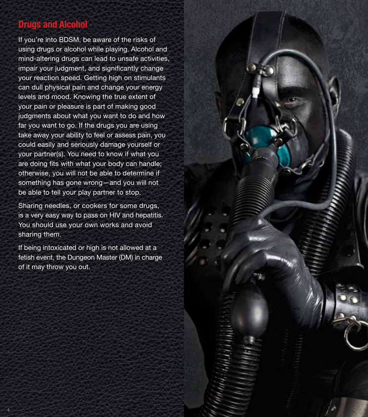# **Drugs and Alcohol**

If you're into BDSM, be aware of the risks of using drugs or alcohol while playing. Alcohol and mind-altering drugs can lead to unsafe activities, impair your judgment, and significantly change your reaction speed. Getting high on stimulants can dull physical pain and change your energy levels and mood. Knowing the true extent of your pain or pleasure is part of making good judgments about what you want to do and how far you want to go. If the drugs you are using take away your ability to feel or assess pain, you could easily and seriously damage yourself or your partner(s). You need to know if what you are doing fits with what your body can handle; otherwise, you will not be able to determine if something has gone wrong—and you will not be able to tell your play partner to stop.

Sharing needles, or cookers for some drugs, is a very easy way to pass on HIV and hepatitis. You should use your own works and avoid sharing them.

If being intoxicated or high is not allowed at a fetish event, the Dungeon Master (DM) in charge of it may throw you out.

4  $\sim$  5  $\sim$  5  $\sim$  5  $\sim$  5  $\sim$  5  $\sim$  5  $\sim$  5  $\sim$  5  $\sim$  5  $\sim$  5  $\sim$  5  $\sim$  5  $\sim$  5  $\sim$  5  $\sim$  5  $\sim$  5  $\sim$  5  $\sim$  5  $\sim$  5  $\sim$  5  $\sim$  5  $\sim$  5  $\sim$  5  $\sim$  5  $\sim$  5  $\sim$  5  $\sim$  5  $\sim$  5  $\sim$  5  $\sim$  5  $\sim$  5  $\$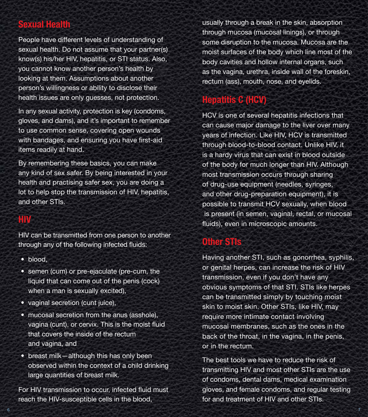## **Sexual Health**

People have different levels of understanding of sexual health. Do not assume that your partner(s) know(s) his/her HIV, hepatitis, or STI status. Also, you cannot know another person's health by looking at them. Assumptions about another person's willingness or ability to disclose their health issues are only guesses, not protection.

In any sexual activity, protection is key (condoms, gloves, and dams), and it's important to remember to use common sense, covering open wounds with bandages, and ensuring you have first-aid items readily at hand.

By remembering these basics, you can make any kind of sex safer. By being interested in your health and practising safer sex, you are doing a lot to help stop the transmission of HIV, hepatitis, and other STIs.

# **HIV**

HIV can be transmitted from one person to another through any of the following infected fluids:

- blood,
- semen (cum) or pre-ejaculate (pre-cum, the liquid that can come out of the penis (cock) when a man is sexually excited),
- vaginal secretion (cunt juice),
- mucosal secretion from the anus (asshole), vagina (cunt), or cervix. This is the moist fluid that covers the inside of the rectum and vagina, and
- breast milk—although this has only been observed within the context of a child drinking large quantities of breast milk.

For HIV transmission to occur, infected fluid must reach the HIV-susceptible cells in the blood,

usually through a break in the skin, absorption through mucosa (mucosal linings), or through some disruption to the mucosa. Mucosa are the moist surfaces of the body which line most of the body cavities and hollow internal organs, such as the vagina, urethra, inside wall of the foreskin, rectum (ass), mouth, nose, and eyelids.

# **Hepatitis C (HCV)**

HCV is one of several hepatitis infections that can cause major damage to the liver over many years of infection. Like HIV, HCV is transmitted through blood-to-blood contact. Unlike HIV, it is a hardy virus that can exist in blood outside of the body for much longer than HIV. Although most transmission occurs through sharing of drug-use equipment (needles, syringes, and other drug-preparation equipment), it is possible to transmit HCV sexually, when blood is present (in semen, vaginal, rectal, or mucosal fluids), even in microscopic amounts.

# **Other STIs**

6  $\,$  6  $\,$  7  $\,$  7  $\,$  7  $\,$  7  $\,$  7  $\,$  7  $\,$  7  $\,$  7  $\,$  7  $\,$  7  $\,$  7  $\,$  7  $\,$  7  $\,$  7  $\,$  7  $\,$  7  $\,$  7  $\,$  7  $\,$  7  $\,$  7  $\,$  7  $\,$  7  $\,$  7  $\,$  7  $\,$  7  $\,$  7  $\,$  7  $\,$  7  $\,$  7  $\,$  7  $\$ 

Having another STI, such as gonorrhea, syphilis, or genital herpes, can increase the risk of HIV transmission, even if you don't have any obvious symptoms of that STI. STIs like herpes can be transmitted simply by touching moist skin to moist skin. Other STIs, like HIV, may require more intimate contact involving mucosal membranes, such as the ones in the back of the throat, in the vagina, in the penis, or in the rectum.

The best tools we have to reduce the risk of transmitting HIV and most other STIs are the use of condoms, dental dams, medical examination gloves, and female condoms, and regular testing for and treatment of HIV and other STIs.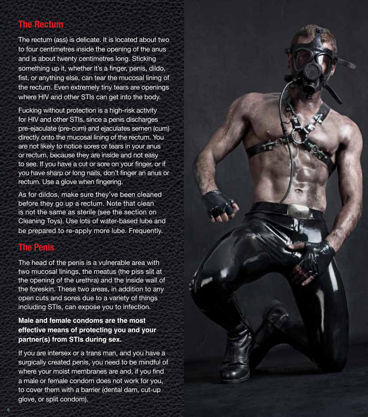# **The Rectum**

The rectum (ass) is delicate. It is located about two to four centimetres inside the opening of the anus and is about twenty centimetres long. Sticking something up it, whether it's a finger, penis, dildo, fist, or anything else, can tear the mucosal lining of the rectum. Even extremely tiny tears are openings where HIV and other STIs can get into the body.

Fucking without protection is a high-risk activity for HIV and other STIs, since a penis discharges pre-ejaculate (pre-cum) and ejaculates semen (cum) directly onto the mucosal lining of the rectum. You are not likely to notice sores or tears in your anus or rectum, because they are inside and not easy to see. If you have a cut or sore on your finger, or if you have sharp or long nails, don't finger an anus or rectum. Use a glove when fingering.

As for dildos, make sure they've been cleaned before they go up a rectum. Note that clean is not the same as sterile (see the section on Cleaning Toys). Use lots of water-based lube and be prepared to re-apply more lube. Frequently.

## **The Penis**

8

The head of the penis is a vulnerable area with two mucosal linings, the meatus (the piss slit at the opening of the urethra) and the inside wall of the foreskin. These two areas, in addition to any open cuts and sores due to a variety of things including STIs, can expose you to infection.

#### **Male and female condoms are the most effective means of protecting you and your partner(s) from STIs during sex.**

If you are intersex or a trans man, and you have a surgically created penis, you need to be mindful of where your moist membranes are and, if you find a male or female condom does not work for you, to cover them with a barrier (dental dam, cut-up glove, or split condom) .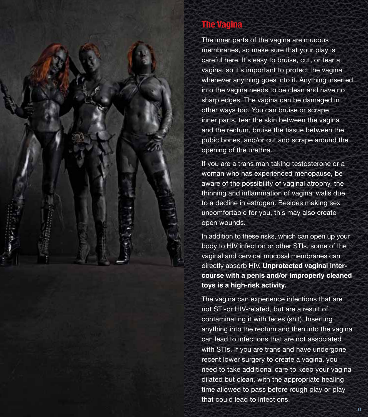

The inner parts of the vagina are mucous membranes, so make sure that your play is careful here. It's easy to bruise, cut, or tear a vagina, so it's important to protect the vagina whenever anything goes into it. Anything inserted into the vagina needs to be clean and have no sharp edges. The vagina can be damaged in other ways too. You can bruise or scrape inner parts, tear the skin between the vagina and the rectum, bruise the tissue between the pubic bones, and/or cut and scrape around the opening of the urethra.

If you are a trans man taking testosterone or a woman who has experienced menopause, be aware of the possibility of vaginal atrophy, the thinning and inflammation of vaginal walls due to a decline in estrogen. Besides making sex uncomfortable for you, this may also create open wounds.

In addition to these risks, which can open up your body to HIV infection or other STIs, some of the vaginal and cervical mucosal membranes can directly absorb HIV. **Unprotected vaginal inter course with a penis and/or improperly cleaned toys is a high-risk activity.**

The vagina can experience infections that are not STI-or HIV-related, but are a result of contaminating it with feces (shit). Inserting anything into the rectum and then into the vagina can lead to infections that are not associated with STIs. If you are trans and have undergone recent lower surgery to create a vagina, you need to take additional care to keep your vagina dilated but clean, with the appropriate healing time allowed to pass before rough play or play that could lead to infections.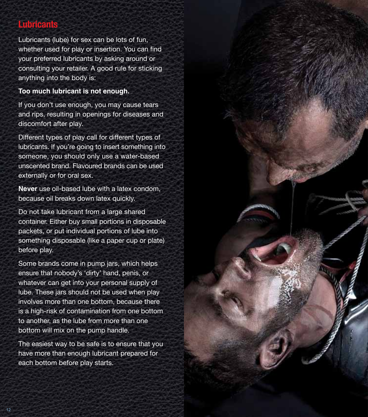# **Lubricants**

Lubricants (lube) for sex can be lots of fun, whether used for play or insertion. You can find your preferred lubricants by asking around or consulting your retailer. A good rule for sticking anything into the body is:

#### **Too much lubricant is not enough.**

If you don't use enough, you may cause tears and rips, resulting in openings for diseases and discomfort after play.

Different types of play call for different types of lubricants. If you're going to insert something into someone, you should only use a water-based unscented brand. Flavoured brands can be used externally or for oral sex.

**Never** use oil-based lube with a latex condom, because oil breaks down latex quickly.

Do not take lubricant from a large shared container. Either buy small portions in disposable packets, or put individual portions of lube into something disposable (like a paper cup or plate) before play.

Some brands come in pump jars, which helps ensure that nobody's 'dirty' hand, penis, or whatever can get into your personal supply of lube. These jars should not be used when play involves more than one bottom, because there is a high-risk of contamination from one bottom to another, as the lube from more than one bottom will mix on the pump handle.

The easiest way to be safe is to ensure that you have more than enough lubricant prepared for each bottom before play starts.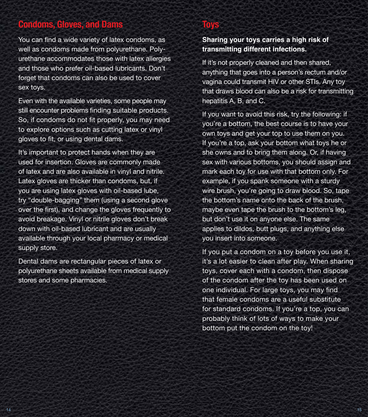# **Condoms, Gloves, and Dams**

You can find a wide variety of latex condoms, as well as condoms made from polyurethane. Polyurethane accommodates those with latex allergies and those who prefer oil-based lubricants. Don't forget that condoms can also be used to cover sex toys.

Even with the available varieties, some people may still encounter problems finding suitable products. So, if condoms do not fit properly, you may need to explore options such as cutting latex or vinyl gloves to fit, or using dental dams.

It's important to protect hands when they are used for insertion. Gloves are commonly made of latex and are also available in vinyl and nitrile. Latex gloves are thicker than condoms, but, if you are using latex gloves with oil-based lube, try "double-bagging" them (using a second glove over the first), and change the gloves frequently to avoid breakage. Vinyl or nitrile gloves don't break down with oil-based lubricant and are usually available through your local pharmacy or medical supply store.

Dental dams are rectangular pieces of latex or polyurethane sheets available from medical supply stores and some pharmacies.

## **Toys**

#### **Sharing your toys carries a high risk of transmitting different infections.**

If it's not properly cleaned and then shared, anything that goes into a person's rectum and/or vagina could transmit HIV or other STIs. Any toy that draws blood can also be a risk for transmitting hepatitis A, B, and C.

If you want to avoid this risk, try the following: if you're a bottom, the best course is to have your own toys and get your top to use them on you. If you're a top, ask your bottom what toys he or she owns and to bring them along. Or, if having sex with various bottoms, you should assign and mark each toy for use with that bottom only. For example, if you spank someone with a sturdy wire brush, you're going to draw blood. So, tape the bottom's name onto the back of the brush, maybe even tape the brush to the bottom's leg, but don't use it on anyone else. The same applies to dildos, butt plugs, and anything else you insert into someone.

If you put a condom on a toy before you use it, it's a lot easier to clean after play. When sharing toys, cover each with a condom, then dispose of the condom after the toy has been used on one individual. For large toys, you may find that female condoms are a useful substitute for standard condoms. If you're a top, you can probably think of lots of ways to make your bottom put the condom on the toy!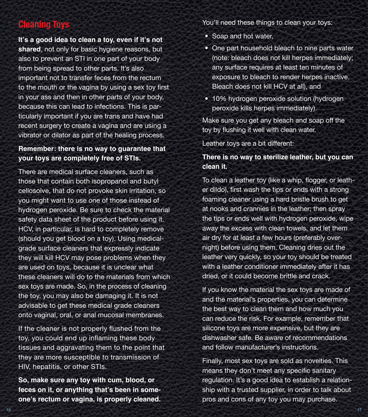## **Cleaning Toys**

**It's a good idea to clean a toy, even if it's not shared**, not only for basic hygiene reasons, but also to prevent an STI in one part of your body from being spread to other parts. It's also important not to transfer feces from the rectum to the mouth or the vagina by using a sex toy first in your ass and then in other parts of your body, because this can lead to infections. This is particularly important if you are trans and have had recent surgery to create a vagina and are using a vibrator or dilator as part of the healing process.

#### **Remember: there is no way to guarantee that your toys are completely free of STIs.**

There are medical surface cleaners, such as those that contain both isopropanol and butyl cellosolve, that do not provoke skin irritation, so you might want to use one of those instead of hydrogen peroxide. Be sure to check the material safety data sheet of the product before using it. HCV, in particular, is hard to completely remove (should you get blood on a toy). Using medicalgrade surface cleaners that expressly indicate they will kill HCV may pose problems when they are used on toys, because it is unclear what these cleaners will do to the materials from which sex toys are made. So, in the process of cleaning the toy, you may also be damaging it. It is not advisable to get these medical grade cleaners onto vaginal, oral, or anal mucosal membranes.

If the cleaner is not properly flushed from the toy, you could end up inflaming these body tissues and aggravating them to the point that they are more susceptible to transmission of HIV, hepatitis, or other STIs.

**So, make sure any toy with cum, blood, or feces on it, or anything that's been in someone's rectum or vagina, is properly cleaned.**

You'll need these things to clean your toys:

- Soap and hot water,
- One part household bleach to nine parts water (note: bleach does not kill herpes immediately; any surface requires at least ten minutes of exposure to bleach to render herpes inactive. Bleach does not kill HCV at all), and
- 10% hydrogen peroxide solution (hydrogen peroxide kills herpes immediately).

Make sure you get any bleach and soap off the toy by flushing it well with clean water.

Leather toys are a bit different:

#### **There is no way to sterilize leather, but you can clean it.**

To clean a leather toy (like a whip, flogger, or leather dildo), first wash the tips or ends with a strong foaming cleaner using a hard bristle brush to get at nooks and crannies in the leather; then spray the tips or ends well with hydrogen peroxide, wipe away the excess with clean towels, and let them air dry for at least a few hours (preferably overnight) before using them. Cleaning dries out the leather very quickly, so your toy should be treated with a leather conditioner immediately after it has dried, or it could become brittle and crack.

If you know the material the sex toys are made of and the material's properties, you can determine the best way to clean them and how much you can reduce the risk. For example, remember that silicone toys are more expensive, but they are dishwasher safe. Be aware of recommendations and follow manufacturer's instructions.

Finally, most sex toys are sold as novelties. This means they don't meet any specific sanitary regulation. It's a good idea to establish a relationship with a trusted supplier, in order to talk about pros and cons of any toy you may purchase.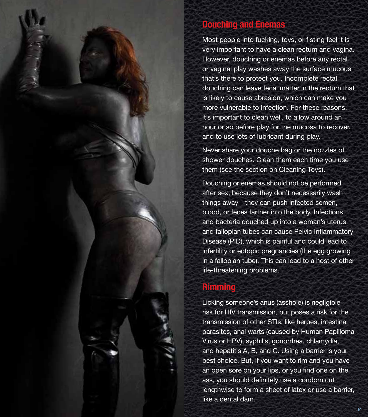# **Douching and Enemas**

Most people into fucking, toys, or fisting feel it is very important to have a clean rectum and vagina. However, douching or enemas before any rectal or vaginal play washes away the surface mucous that's there to protect you. Incomplete rectal douching can leave fecal matter in the rectum that is likely to cause abrasion, which can make you more vulnerable to infection. For these reasons, it's important to clean well, to allow around an hour or so before play for the mucosa to recover, and to use lots of lubricant during play.

Never share your douche bag or the nozzles of shower douches. Clean them each time you use them (see the section on Cleaning Toys).

Douching or enemas should not be performed after sex, because they don't necessarily wash things away—they can push infected semen, blood, or feces farther into the body. Infections and bacteria douched up into a woman's uterus and fallopian tubes can cause Pelvic Inflammatory Disease (PID), which is painful and could lead to infertility or ectopic pregnancies (the egg growing in a fallopian tube). This can lead to a host of other life-threatening problems.

## **Rimming**

Licking someone's anus (asshole) is negligible risk for HIV transmission, but poses a risk for the transmission of other STIs, like herpes, intestinal parasites, anal warts (caused by Human Papilloma Virus or HPV), syphilis, gonorrhea, chlamydia, and hepatitis A, B, and C. Using a barrier is your best choice. But, if you want to rim and you have an open sore on your lips, or you find one on the ass, you should definitely use a condom cut lengthwise to form a sheet of latex or use a barrier, like a dental dam.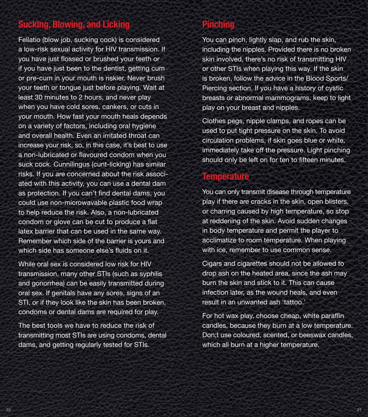# **Sucking, Blowing, and Licking**

Fellatio (blow job, sucking cock) is considered a low-risk sexual activity for HIV transmission. If you have just flossed or brushed your teeth or if you have just been to the dentist, getting cum or pre-cum in your mouth is riskier. Never brush your teeth or tongue just before playing. Wait at least 30 minutes to 2 hours, and never play when you have cold sores, cankers, or cuts in your mouth. How fast your mouth heals depends on a variety of factors, including oral hygiene and overall health. Even an irritated throat can increase your risk, so, in this case, it's best to use a non-lubricated or flavoured condom when you suck cock. Cunnilingus (cunt-licking) has similar risks. If you are concerned about the risk associated with this activity, you can use a dental dam as protection. If you can't find dental dams, you could use non-microwavable plastic food wrap to help reduce the risk. Also, a non-lubricated condom or glove can be cut to produce a flat latex barrier that can be used in the same way. Remember which side of the barrier is yours and which side has someone else's fluids on it.

While oral sex is considered low risk for HIV transmission, many other STIs (such as syphilis and gonorrhea) can be easily transmitted during oral sex. If genitals have any sores, signs of an STI, or if they look like the skin has been broken, condoms or dental dams are required for play.

The best tools we have to reduce the risk of transmitting most STIs are using condoms, dental dams, and getting regularly tested for STIs.

# **Pinching**

You can pinch, lightly slap, and rub the skin, including the nipples. Provided there is no broken skin involved, there's no risk of transmitting HIV or other STIs when playing this way. If the skin is broken, follow the advice in the Blood Sports/ Piercing section. If you have a history of cystic breasts or abnormal mammograms, keep to light play on your breast and nipples.

Clothes pegs, nipple clamps, and ropes can be used to put tight pressure on the skin. To avoid circulation problems, if skin goes blue or white, immediately take off the pressure. Light pinching should only be left on for ten to fifteen minutes.

## **Temperature**

You can only transmit disease through temperature play if there are cracks in the skin, open blisters, or charring caused by high temperature, so stop at reddening of the skin. Avoid sudden changes in body temperature and permit the player to acclimatize to room temperature. When playing with ice, remember to use common sense.

Cigars and cigarettes should not be allowed to drop ash on the heated area, since the ash may burn the skin and stick to it. This can cause infection later, as the wound heals, and even result in an unwanted ash 'tattoo.'

For hot wax play, choose cheap, white paraffin candles, because they burn at a low temperature. Don;t use coloured, scented, or beeswax candles, which all burn at a higher temperature.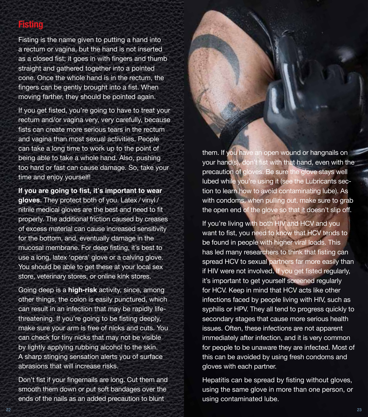## **Fisting**

Fisting is the name given to putting a hand into a rectum or vagina, but the hand is not inserted as a closed fist; it goes in with fingers and thumb straight and gathered together into a pointed cone. Once the whole hand is in the rectum, the fingers can be gently brought into a fist. When moving farther, they should be pointed again.

If you get fisted, you're going to have to treat your rectum and/or vagina very, very carefully, because fists can create more serious tears in the rectum and vagina than most sexual activities. People can take a long time to work up to the point of being able to take a whole hand. Also, pushing too hard or fast can cause damage. So, take your time and enjoy yourself!

**If you are going to fist, it's important to wear gloves.** They protect both of you. Latex / vinyl / nitrile medical gloves are the best and need to fit properly. The additional friction caused by creases of excess material can cause increased sensitivity for the bottom, and, eventually damage in the mucosal membrane. For deep fisting, it's best to use a long, latex 'opera' glove or a calving glove. You should be able to get these at your local sex store, veterinary stores, or online kink stores.

Going deep is a **high-risk** activity, since, among other things, the colon is easily punctured, which can result in an infection that may be rapidly lifethreatening. If you're going to be fisting deeply, make sure your arm is free of nicks and cuts. You can check for tiny nicks that may not be visible by lightly applying rubbing alcohol to the skin. A sharp stinging sensation alerts you of surface abrasions that will increase risks.

Don't fist if your fingernails are long. Cut them and smooth them down or put soft bandages over the ends of the nails as an added precaution to blunt

them. If you have an open wound or hangnails on your hand(s), don't fist with that hand, even with the precaution of gloves. Be sure the glove stays well lubed while you're using it (see the Lubricants section to learn how to avoid contaminating lube). As with condoms, when pulling out, make sure to grab the open end of the glove so that it doesn't slip off.

If you're living with both HIV and HCV and you want to fist, you need to know that HCV tends to be found in people with higher viral loads. This has led many researchers to think that fisting can spread HCV to sexual partners far more easily than if HIV were not involved. If you get fisted regularly, it's important to get yourself screened regularly for HCV. Keep in mind that HCV acts like other infections faced by people living with HIV, such as syphilis or HPV. They all tend to progress quickly to secondary stages that cause more serious health issues. Often, these infections are not apparent immediately after infection, and it is very common for people to be unaware they are infected. Most of this can be avoided by using fresh condoms and gloves with each partner.

Hepatitis can be spread by fisting without gloves, using the same glove in more than one person, or using contaminated lube.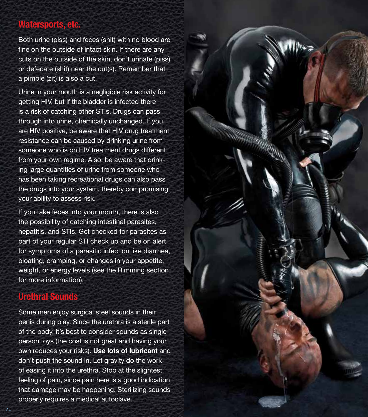#### **Watersports, etc.**

Both urine (piss) and feces (shit) with no blood are fine on the outside of intact skin. If there are any cuts on the outside of the skin, don't urinate (piss) or defecate (shit) near the cut(s). Remember that a pimple (zit) is also a cut.

Urine in your mouth is a negligible risk activity for getting HIV, but if the bladder is infected there is a risk of catching other STIs. Drugs can pass through into urine, chemically unchanged. If you are HIV positive, be aware that HIV drug treatment resistance can be caused by drinking urine from someone who is on HIV treatment drugs different from your own regime. Also, be aware that drink ing large quantities of urine from someone who has been taking recreational drugs can also pass the drugs into your system, thereby compromising your ability to assess risk.

If you take feces into your mouth, there is also the possibility of catching intestinal parasites, hepatitis, and STIs. Get checked for parasites as part of your regular STI check up and be on alert for symptoms of a parasitic infection like diarrhea, bloating, cramping, or changes in your appetite, weight, or energy levels (see the Rimming section for more information).

# **Urethral Sounds**

Some men enjoy surgical steel sounds in their penis during play. Since the urethra is a sterile part of the body, it's best to consider sounds as singleperson toys (the cost is not great and having your own reduces your risks). **Use lots of lubricant** and don't push the sound in. Let gravity do the work of easing it into the urethra. Stop at the slightest feeling of pain, since pain here is a good indication that damage may be happening. Sterilizing sounds properly requires a medical autoclave.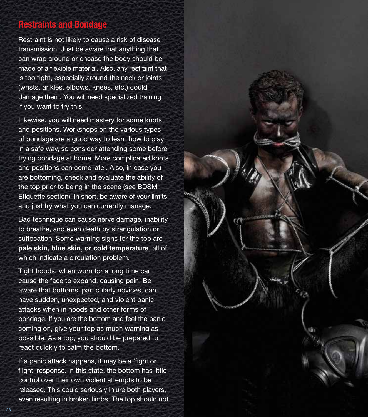#### **Restraints and Bondage**

Restraint is not likely to cause a risk of disease transmission. Just be aware that anything that can wrap around or encase the body should be made of a flexible material. Also, any restraint that is too tight, especially around the neck or joints (wrists, ankles, elbows, knees, etc.) could damage them. You will need specialized training if you want to try this.

Likewise, you will need mastery for some knots and positions. Workshops on the various types of bondage are a good way to learn how to play in a safe way, so consider attending some before trying bondage at home. More complicated knots and positions can come later. Also, in case you are bottoming, check and evaluate the ability of the top prior to being in the scene (see BDSM Etiquette section). In short, be aware of your limits and just try what you can currently manage.

Bad technique can cause nerve damage, inability to breathe, and even death by strangulation or suffocation. Some warning signs for the top are **pale skin, blue skin, or cold temperature**, all of which indicate a circulation problem.

Tight hoods, when worn for a long time can cause the face to expand, causing pain. Be aware that bottoms, particularly novices, can have sudden, unexpected, and violent panic attacks when in hoods and other forms of bondage. If you are the bottom and feel the panic coming on, give your top as much warning as possible. As a top, you should be prepared to react quickly to calm the bottom.

If a panic attack happens, it may be a 'fight or flight' response. In this state, the bottom has little control over their own violent attempts to be released. This could seriously injure both players, even resulting in broken limbs. The top should not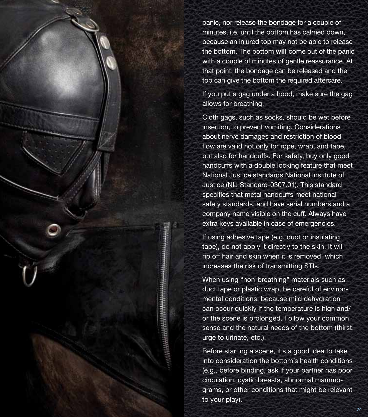panic, nor release the bondage for a couple of minutes, i.e. until the bottom has calmed down, because an injured top may not be able to release the bottom. The bottom **will** come out of the panic with a couple of minutes of gentle reassurance. At that point, the bondage can be released and the top can give the bottom the required aftercare.

If you put a gag under a hood, make sure the gag allows for breathing.

Cloth gags, such as socks, should be wet before insertion, to prevent vomiting. Considerations about nerve damages and restriction of blood flow are valid not only for rope, wrap, and tape, but also for handcuffs. For safety, buy only good handcuffs with a double locking feature that meet National Justice standards National Institute of Justice (NIJ Standard-0307.01). This standard specifies that metal handcuffs meet national safety standards, and have serial numbers and a company name visible on the cuff. Always have extra keys available in case of emergencies.

If using adhesive tape (e.g. duct or insulating tape), do not apply it directly to the skin. It will rip off hair and skin when it is removed, which increases the risk of transmitting STIs.

When using "non-breathing" materials such as duct tape or plastic wrap, be careful of environmental conditions, because mild dehydration can occur quickly if the temperature is high and/ or the scene is prolonged. Follow your common sense and the natural needs of the bottom (thirst, urge to urinate, etc.).

Before starting a scene, it's a good idea to take into consideration the bottom's health conditions (e.g., before binding, ask if your partner has poor circulation, cystic breasts, abnormal mammograms, or other conditions that might be relevant to your play).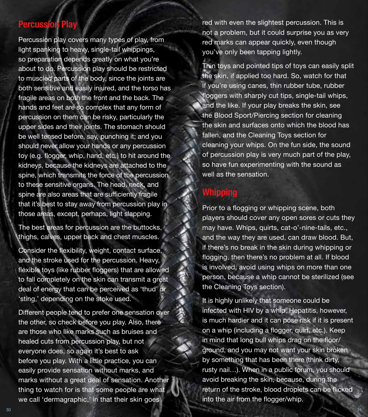## **Percussion**

Percussion play covers many types of play, from light spanking to heavy, single-tail whippings, so preparation depends greatly on what you're about to do. Percussion play should be restricted to muscled parts of the body, since the joints are both sensitive and easily injured, and the torso has fragile areas on both the front and the back. The hands and feet are so complex that any form of percussion on them can be risky, particularly the upper sides and their joints. The stomach should be well tensed before, say, punching it; and you should never allow your hands or any percussion toy (e.g. flogger, whip, hand, etc.) to hit around the kidneys, because the kidneys are attached to the spine, which transmits the force of the percussion to these sensitive organs. The head, neck, and spine are also areas that are sufficiently fragile that it's best to stay away from percussion play in those areas, except, perhaps, light slapping.

The best areas for percussion are the buttocks, thighs, calves, upper back and chest muscles.

Consider the flexibility, weight, contact surface, and the stroke used for the percussion. Heavy, flexible toys (like rubber floggers) that are allowed to fall completely on the skin can transmit a great deal of energy that can be perceived as 'thud' or 'sting,' depending on the stoke used.

Different people tend to prefer one sensation over the other, so check before you play. Also, there are those who like marks such as bruises and healed cuts from percussion play, but not everyone does, so again it's best to ask before you play. With a little practice, you can easily provide sensation without marks, and marks without a great deal of sensation. Another thing to watch for is that some people are what we call 'dermagraphic,' in that their skin goes

red with even the slightest percussion. This is not a problem, but it could surprise you as very red marks can appear quickly, even though you've only been tapping lightly.

Thin toys and pointed tips of toys can easily split the skin, if applied too hard. So, watch for that if you're using canes, thin rubber tube, rubber floggers with sharply cut tips, single-tail whips, and the like. If your play breaks the skin, see the Blood Sport/Piercing section for cleaning the skin and surfaces onto which the blood has fallen, and the Cleaning Toys section for cleaning your whips. On the fun side, the sound of percussion play is very much part of the play, so have fun experimenting with the sound as well as the sensation.

#### **Whipping**

Prior to a flogging or whipping scene, both players should cover any open sores or cuts they may have. Whips, quirts, cat-o'-nine-tails, etc., and the way they are used, can draw blood. But, if there's no break in the skin during whipping or flogging, then there's no problem at all. If blood is involved, avoid using whips on more than one person, because a whip cannot be sterilized (see the Cleaning Toys section).

It is highly unlikely that someone could be infected with HIV by a whip. Hepatitis, however, is much hardier and it can pose risk if it is present on a whip (including a flogger, quirt, etc.). Keep in mind that long bull whips drag on the floor/ ground, and you may not want your skin broken by something that has been there (think dirty, rusty nail…). When in a public forum, you should avoid breaking the skin, because, during the return of the stroke, blood droplets can be flicked into the air from the flogger/whip.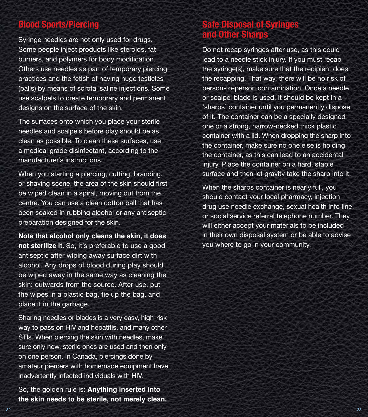## **Blood Sports/Piercing**

Syringe needles are not only used for drugs. Some people inject products like steroids, fat burners, and polymers for body modification. Others use needles as part of temporary piercing practices and the fetish of having huge testicles (balls) by means of scrotal saline injections. Some use scalpels to create temporary and permanent designs on the surface of the skin.

The surfaces onto which you place your sterile needles and scalpels before play should be as clean as possible. To clean these surfaces, use a medical grade disinfectant, according to the manufacturer's instructions.

When you starting a piercing, cutting, branding, or shaving scene, the area of the skin should first be wiped clean in a spiral, moving out from the centre. You can use a clean cotton ball that has been soaked in rubbing alcohol or any antiseptic preparation designed for the skin.

**Note that alcohol only cleans the skin, it does not sterilize it.** So, it's preferable to use a good antiseptic after wiping away surface dirt with alcohol. Any drops of blood during play should be wiped away in the same way as cleaning the skin: outwards from the source. After use, put the wipes in a plastic bag, tie up the bag, and place it in the garbage.

Sharing needles or blades is a very easy, high-risk way to pass on HIV and hepatitis, and many other STIs. When piercing the skin with needles, make sure only new, sterile ones are used and then only on one person. In Canada, piercings done by amateur piercers with homemade equipment have inadvertently infected individuals with HIV.

So, the golden rule is: **Anything inserted into the skin needs to be sterile, not merely clean.**

# **The Disposal of Syringes and Other Sharp**

Do not recap syringes after use, as this could lead to a needle stick injury. If you must recap the syringe(s), make sure that the recipient does the recapping. That way, there will be no risk of person-to-person contamination. Once a needle or scalpel blade is used, it should be kept in a 'sharps' container until you permanently dispose of it. The container can be a specially designed one or a strong, narrow-necked thick plastic container with a lid. When dropping the sharp into the container, make sure no one else is holding the container, as this can lead to an accidental injury. Place the container on a hard, stable surface and then let gravity take the sharp into it.

When the sharps container is nearly full, you should contact your local pharmacy, injection drug use needle exchange, sexual health info line, or social service referral telephone number. They will either accept your materials to be included in their own disposal system or be able to advise you where to go in your community.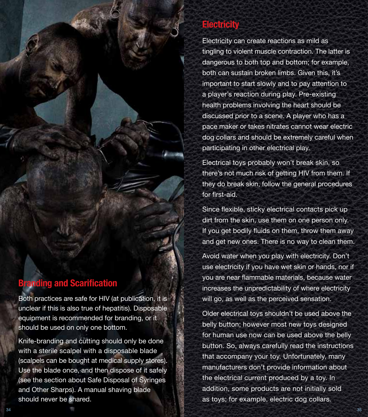# **Electricity**

Electricity can create reactions as mild as tingling to violent muscle contraction. The latter is dangerous to both top and bottom; for example, both can sustain broken limbs. Given this, it's important to start slowly and to pay attention to a player's reaction during play. Pre-existing health problems involving the heart should be discussed prior to a scene. A player who has a pace maker or takes nitrates cannot wear electric dog collars and should be extremely careful when participating in other electrical play.

Electrical toys probably won't break skin, so there's not much risk of getting HIV from them. If they do break skin, follow the general procedures for first-aid.

Since flexible, sticky electrical contacts pick up dirt from the skin, use them on one person only. If you get bodily fluids on them, throw them away and get new ones. There is no way to clean them.

Avoid water when you play with electricity. Don't use electricity if you have wet skin or hands, nor if you are near flammable materials, because water increases the unpredictability of where electricity will go, as well as the perceived sensation.

Older electrical toys shouldn't be used above the belly button; however most new toys designed for human use now can be used above the belly button. So, always carefully read the instructions that accompany your toy. Unfortunately, many manufacturers don't provide information about the electrical current produced by a toy. In addition, some products are not initially sold as toys; for example, electric dog collars.

# **Branding and Scarification**

Both practices are safe for HIV (at publication, it is unclear if this is also true of hepatitis). Disposable equipment is recommended for branding, or it should be used on only one bottom.

Knife-branding and cutting should only be done with a sterile scalpel with a disposable blade (scalpels can be bought at medical supply stores). Use the blade once, and then dispose of it safely (see the section about Safe Disposal of Syringes and Other Sharps). A manual shaving blade should never be shared.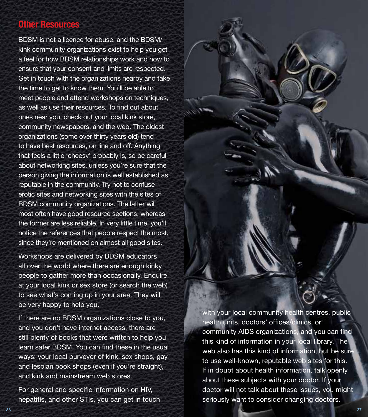#### **Other Resources**

BDSM is not a licence for abuse, and the BDSM/ kink community organizations exist to help you get a feel for how BDSM relationships work and how to ensure that your consent and limits are respected. Get in touch with the organizations nearby and take the time to get to know them. You'll be able to meet people and attend workshops on techniques, as well as use their resources. To find out about ones near you, check out your local kink store, community newspapers, and the web. The oldest organizations (some over thirty years old) tend to have best resources, on line and off. Anything that feels a little 'cheesy' probably is, so be careful about networking sites, unless you're sure that the person giving the information is well established as reputable in the community. Try not to confuse erotic sites and networking sites with the sites of BDSM community organizations. The latter will most often have good resource sections, whereas the former are less reliable. In very little time, you'll notice the references that people respect the most, since they're mentioned on almost all good sites.

Workshops are delivered by BDSM educators all over the world where there are enough kinky people to gather more than occasionally. Enquire at your local kink or sex store (or search the web) to see what's coming up in your area. They will be very happy to help you.

If there are no BDSM organizations close to you, and you don't have internet access, there are still plenty of books that were written to help you learn safer BDSM. You can find these in the usual ways: your local purveyor of kink, sex shops, gay and lesbian book shops (even if you're straight), and kink and mainstream web stores.

For general and specific information on HIV, hepatitis, and other STIs, you can get in touch with your local community health centres, public health units, doctors' offices/clinics, or community AIDS organizations, and you can find this kind of information in your local library. The web also has this kind of information, but be sure to use well-known, reputable web sites for this. If in doubt about health information, talk openly about these subjects with your doctor. If your doctor will not talk about these issues, you might seriously want to consider changing doctors.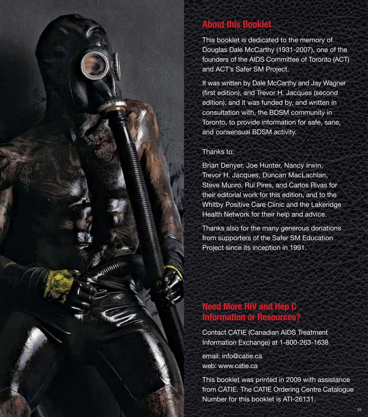# **About this Booklet**

This booklet is dedicated to the memory of Douglas Dale McCarthy (1931-2007), one of the founders of the AIDS Committee of Toronto (ACT) and ACT's Safer SM Project.

It was written by Dale McCarthy and Jay Wagner (first edition), and Trevor H. Jacques (second edition), and it was funded by, and written in consultation with, the BDSM community in Toronto, to provide information for safe, sane, and consensual BDSM activity.

#### Thanks to:

*Committee* 

 $10000$ 

Brian Denyer, Joe Hunter, Nancy Irwin, Trevor H. Jacques, Duncan MacLachlan, Steve Munro, Rui Pires, and Carlos Rivas for their editorial work for this edition, and to the Whitby Positive Care Clinic and the Lakeridge Health Network for their help and advice.

Thanks also for the many generous donations from supporters of the Safer SM Education Project since its inception in 1991.

# **Need More HIV and Hep C Information or Resources?**

Contact CATIE (Canadian AIDS Treatment Information Exchange) at 1-800-263-1638

email: info@catie.ca web: www.catie.ca

This booklet was printed in 2009 with assistance from CATIE. The CATIE Ordering Centre Catalogue Number for this booklet is ATI-26131.